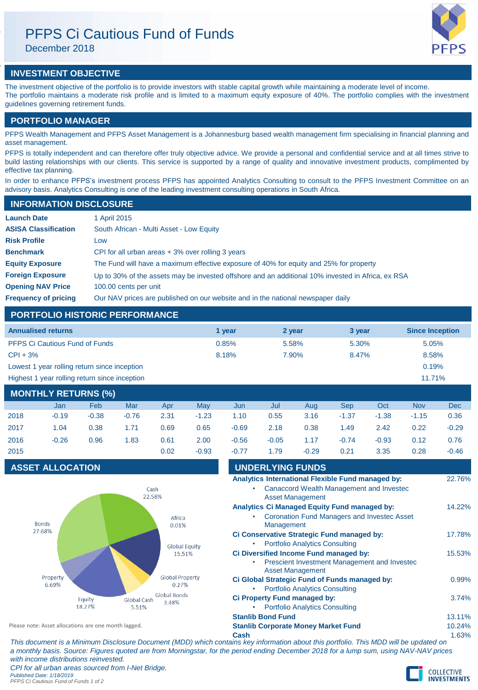# PFPS Ci Cautious Fund of Funds

December 2018

# **INVESTMENT OBJECTIVE**

The investment objective of the portfolio is to provide investors with stable capital growth while maintaining a moderate level of income. The portfolio maintains a moderate risk profile and is limited to a maximum equity exposure of 40%. The portfolio complies with the investment guidelines governing retirement funds.

## **PORTFOLIO MANAGER**

PFPS Wealth Management and PFPS Asset Management is a Johannesburg based wealth management firm specialising in financial planning and asset management.

PFPS is totally independent and can therefore offer truly objective advice. We provide a personal and confidential service and at all times strive to build lasting relationships with our clients. This service is supported by a range of quality and innovative investment products, complimented by effective tax planning.

In order to enhance PFPS's investment process PFPS has appointed Analytics Consulting to consult to the PFPS Investment Committee on an advisory basis. Analytics Consulting is one of the leading investment consulting operations in South Africa.

## **INFORMATION DISCLOSURE**

| <b>Launch Date</b>          | 1 April 2015                                                                                      |
|-----------------------------|---------------------------------------------------------------------------------------------------|
| <b>ASISA Classification</b> | South African - Multi Asset - Low Equity                                                          |
| <b>Risk Profile</b>         | Low                                                                                               |
| <b>Benchmark</b>            | CPI for all urban areas $+3\%$ over rolling 3 years                                               |
| <b>Equity Exposure</b>      | The Fund will have a maximum effective exposure of 40% for equity and 25% for property            |
| <b>Foreign Exposure</b>     | Up to 30% of the assets may be invested offshore and an additional 10% invested in Africa, ex RSA |
| <b>Opening NAV Price</b>    | 100.00 cents per unit                                                                             |
| <b>Frequency of pricing</b> | Our NAV prices are published on our website and in the national newspaper daily                   |

## **PORTFOLIO HISTORIC PERFORMANCE**

| <b>Annualised returns</b>                     | 1 vear | 2 year | 3 year | <b>Since Inception</b> |
|-----------------------------------------------|--------|--------|--------|------------------------|
| <b>PFPS Ci Cautious Fund of Funds</b>         | 0.85%  | 5.58%  | 5.30%  | 5.05%                  |
| $CPI + 3%$                                    | 8.18%  | 7.90%  | 8.47%  | 8.58%                  |
| Lowest 1 year rolling return since inception  |        |        |        | 0.19%                  |
| Highest 1 year rolling return since inception |        |        |        | 11.71%                 |

# **MONTHLY RETURNS (%)**

|      | Jan     | <b>Feb</b> | Mar     | Apr  | Mav     | Jun     | Jul     | Aug     | <b>Sep</b> | Oct     | <b>Nov</b> | <b>Dec</b> |
|------|---------|------------|---------|------|---------|---------|---------|---------|------------|---------|------------|------------|
| 2018 | $-0.19$ | $-0.38$    | $-0.76$ | 2.31 | $-1.23$ | 1.10    | 0.55    | 3.16    | $-1.37$    | $-1.38$ | $-1.15$    | 0.36       |
| 2017 | 1.04    | 0.38       | 1.71    | 0.69 | 0.65    | $-0.69$ | 2.18    | 0.38    | 1.49       | 2.42    | 0.22       | $-0.29$    |
| 2016 | $-0.26$ | 0.96       | 1.83    | 0.61 | 2.00    | $-0.56$ | $-0.05$ | 1.17    | $-0.74$    | $-0.93$ | 0.12       | 0.76       |
| 2015 |         |            |         | 0.02 | $-0.93$ | $-0.77$ | 1.79    | $-0.29$ | 0.21       | 3.35    | 0.28       | $-0.46$    |

# **ASSET ALLOCATION**



| <b>UNDERLYING FUNDS</b>                            |        |
|----------------------------------------------------|--------|
| Analytics International Flexible Fund managed by:  | 22.76% |
| Canaccord Wealth Management and Investec           |        |
| <b>Asset Management</b>                            |        |
| Analytics Ci Managed Equity Fund managed by:       | 14.22% |
| <b>Coronation Fund Managers and Investec Asset</b> |        |
| Management                                         |        |
| Ci Conservative Strategic Fund managed by:         | 17.78% |
| <b>Portfolio Analytics Consulting</b>              |        |
| Ci Diversified Income Fund managed by:             | 15.53% |
| Prescient Investment Management and Investec       |        |
| <b>Asset Management</b>                            |        |
| Ci Global Strategic Fund of Funds managed by:      | 0.99%  |
| <b>Portfolio Analytics Consulting</b>              |        |
| Ci Property Fund managed by:                       | 3.74%  |
| <b>Portfolio Analytics Consulting</b>              |        |
| <b>Stanlib Bond Fund</b>                           | 13.11% |
| <b>Stanlib Corporate Money Market Fund</b>         | 10.24% |
| Cash                                               | 1.63%  |

**Cash** 1.63% *This document is a Minimum Disclosure Document (MDD) which contains key information about this portfolio. This MDD will be updated on* 

*a monthly basis. Source: Figures quoted are from Morningstar, for the period ending December 2018 for a lump sum, using NAV-NAV prices with income distributions reinvested. CPI for all urban areas sourced from I-Net Bridge.*

Please note: Asset allocations are one month lagged.